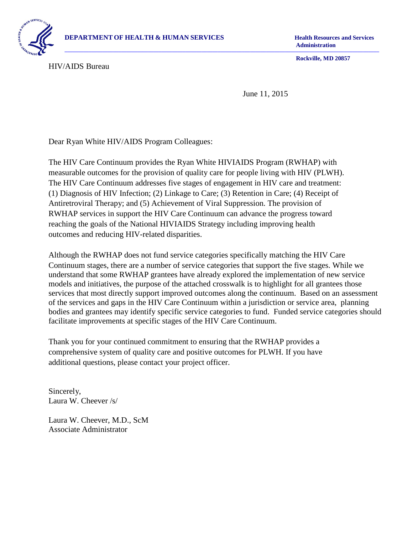

**Administration** 

HIV/AIDS Bureau

**Rockville, MD 20857** 

June 11, 2015

**–––––––––––––––––––––––––––––––––––––––––––––––––––––––––––––––––––––––––––––––––––––––––––––––––––––––––––––––––––––** 

Dear Ryan White HIV/AIDS Program Colleagues:

 measurable outcomes for the provision of quality care for people living with HIV (PLWH). reaching the goals of the National HIVIAIDS Strategy including improving health The HIV Care Continuum provides the Ryan White HIVIAIDS Program (RWHAP) with The HIV Care Continuum addresses five stages of engagement in HIV care and treatment: (1) Diagnosis of HIV Infection; (2) Linkage to Care; (3) Retention in Care; (4) Receipt of Antiretroviral Therapy; and (5) Achievement of Viral Suppression. The provision of RWHAP services in support the HIV Care Continuum can advance the progress toward outcomes and reducing HIV-related disparities.

Although the RWHAP does not fund service categories specifically matching the HIV Care Continuum stages, there are a number of service categories that support the five stages. While we understand that some RWHAP grantees have already explored the implementation of new service models and initiatives, the purpose of the attached crosswalk is to highlight for all grantees those services that most directly support improved outcomes along the continuum. Based on an assessment of the services and gaps in the HIV Care Continuum within a jurisdiction or service area, planning bodies and grantees may identify specific service categories to fund. Funded service categories should facilitate improvements at specific stages of the HIV Care Continuum.

 Thank you for your continued commitment to ensuring that the RWHAP provides a comprehensive system of quality care and positive outcomes for PLWH. If you have additional questions, please contact your project officer.

Sincerely, Laura W. Cheever /s/

Laura W. Cheever, M.D., ScM Associate Administrator